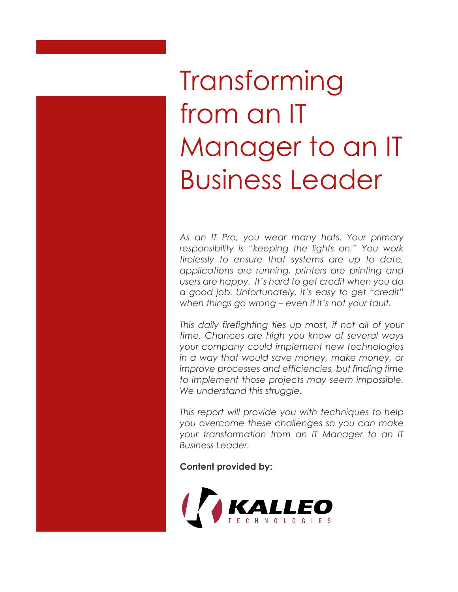# Transforming from an IT Manager to an IT Business Leader

*As an IT Pro, you wear many hats. Your primary responsibility is "keeping the lights on." You work tirelessly to ensure that systems are up to date, applications are running, printers are printing and users are happy. It's hard to get credit when you do a good job. Unfortunately, it's easy to get "credit" when things go wrong – even if it's not your fault.* 

*This daily firefighting ties up most, if not all of your time. Chances are high you know of several ways your company could implement new technologies in a way that would save money, make money, or improve processes and efficiencies, but finding time to implement those projects may seem impossible. We understand this struggle.* 

*This report will provide you with techniques to help you overcome these challenges so you can make your transformation from an IT Manager to an IT Business Leader.*

**Content provided by:**

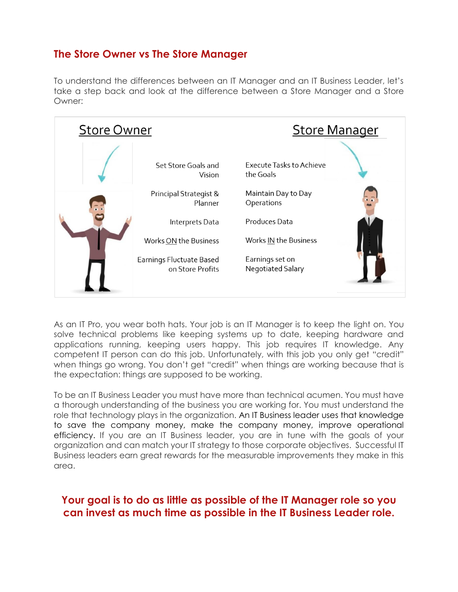# **The Store Owner vs The Store Manager**

To understand the differences between an IT Manager and an IT Business Leader, let's take a step back and look at the difference between a Store Manager and a Store Owner:



As an IT Pro, you wear both hats. Your job is an IT Manager is to keep the light on. You solve technical problems like keeping systems up to date, keeping hardware and applications running, keeping users happy. This job requires IT knowledge. Any competent IT person can do this job. Unfortunately, with this job you only get "credit" when things go wrong. You don't get "credit" when things are working because that is the expectation: things are supposed to be working.

To be an IT Business Leader you must have more than technical acumen. You must have a thorough understanding of the business you are working for. You must understand the role that technology plays in the organization. An IT Business leader uses that knowledge to save the company money, make the company money, improve operational efficiency. If you are an IT Business leader, you are in tune with the goals of your organization and can match your IT strategy to those corporate objectives. Successful IT Business leaders earn great rewards for the measurable improvements they make in this area.

#### **Your goal is to do as little as possible of the IT Manager role so you can invest as much time as possible in the IT Business Leader role.**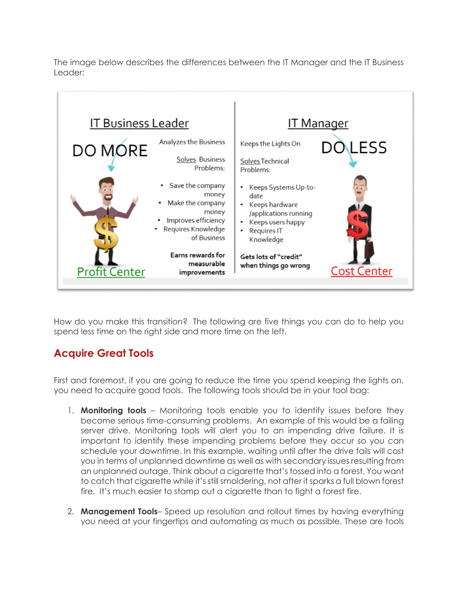The image below describes the differences between the IT Manager and the IT Business Leader:



How do you make this transition? The following are five things you can do to help you spend less time on the right side and more time on the left.

# **Acquire Great Tools**

First and foremost, if you are going to reduce the time you spend keeping the lights on, you need to acquire good tools. The following tools should be in your tool bag:

- 1. **Monitoring tools** Monitoring tools enable you to identify issues before they become serious time-consuming problems. An example of this would be a failing server drive. Monitoring tools will alert you to an impending drive failure. It is important to identify these impending problems before they occur so you can schedule your downtime. In this example, waiting until after the drive fails will cost you in terms of unplanned downtime as well as with secondary issues resulting from an unplanned outage. Think about a cigarette that's tossed into a forest. You want to catch that cigarette while it's still smoldering, not after it sparks a full blown forest fire. It's much easier to stamp out a cigarette than to fight a forest fire.
- 2. **Management Tools** Speed up resolution and rollout times by having everything you need at your fingertips and automating as much as possible. These are tools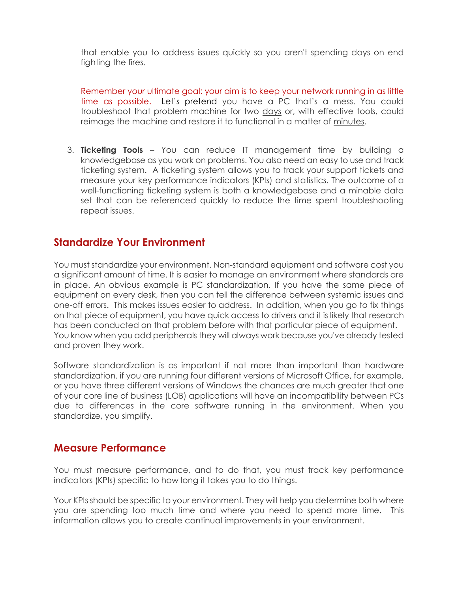that enable you to address issues quickly so you aren't spending days on end fighting the fires.

Remember your ultimate goal: your aim is to keep your network running in as little time as possible. Let's pretend you have a PC that's a mess. You could troubleshoot that problem machine for two days or, with effective tools, could reimage the machine and restore it to functional in a matter of minutes.

3. **Ticketing Tools** – You can reduce IT management time by building a knowledgebase as you work on problems. You also need an easy to use and track ticketing system. A ticketing system allows you to track your support tickets and measure your key performance indicators (KPIs) and statistics. The outcome of a well-functioning ticketing system is both a knowledgebase and a minable data set that can be referenced quickly to reduce the time spent troubleshooting repeat issues.

#### **Standardize Your Environment**

You must standardize your environment. Non-standard equipment and software cost you a significant amount of time. It is easier to manage an environment where standards are in place. An obvious example is PC standardization. If you have the same piece of equipment on every desk, then you can tell the difference between systemic issues and one-off errors. This makes issues easier to address. In addition, when you go to fix things on that piece of equipment, you have quick access to drivers and it is likely that research has been conducted on that problem before with that particular piece of equipment. You know when you add peripherals they will always work because you've already tested and proven they work.

Software standardization is as important if not more than important than hardware standardization. if you are running four different versions of Microsoft Office, for example, or you have three different versions of Windows the chances are much greater that one of your core line of business (LOB) applications will have an incompatibility between PCs due to differences in the core software running in the environment. When you standardize, you simplify.

#### **Measure Performance**

You must measure performance, and to do that, you must track key performance indicators (KPIs) specific to how long it takes you to do things.

Your KPIs should be specific to your environment. They will help you determine both where you are spending too much time and where you need to spend more time. This information allows you to create continual improvements in your environment.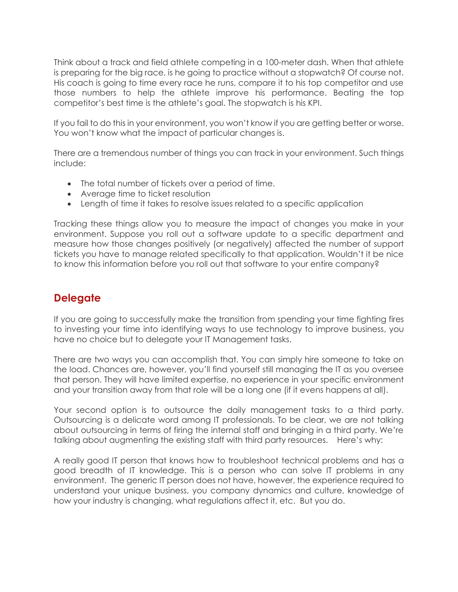Think about a track and field athlete competing in a 100-meter dash. When that athlete is preparing for the big race, is he going to practice without a stopwatch? Of course not. His coach is going to time every race he runs, compare it to his top competitor and use those numbers to help the athlete improve his performance. Beating the top competitor's best time is the athlete's goal. The stopwatch is his KPI.

If you fail to do this in your environment, you won't know if you are getting better or worse. You won't know what the impact of particular changes is.

There are a tremendous number of things you can track in your environment. Such things include:

- The total number of tickets over a period of time.
- Average time to ticket resolution
- Length of time it takes to resolve issues related to a specific application

Tracking these things allow you to measure the impact of changes you make in your environment. Suppose you roll out a software update to a specific department and measure how those changes positively (or negatively) affected the number of support tickets you have to manage related specifically to that application. Wouldn't it be nice to know this information before you roll out that software to your entire company?

# **Delegate**

If you are going to successfully make the transition from spending your time fighting fires to investing your time into identifying ways to use technology to improve business, you have no choice but to delegate your IT Management tasks.

There are two ways you can accomplish that. You can simply hire someone to take on the load. Chances are, however, you'll find yourself still managing the IT as you oversee that person. They will have limited expertise, no experience in your specific environment and your transition away from that role will be a long one (if it evens happens at all).

Your second option is to outsource the daily management tasks to a third party. Outsourcing is a delicate word among IT professionals. To be clear, we are not talking about outsourcing in terms of firing the internal staff and bringing in a third party. We're talking about augmenting the existing staff with third party resources. Here's why:

A really good IT person that knows how to troubleshoot technical problems and has a good breadth of IT knowledge. This is a person who can solve IT problems in any environment. The generic IT person does not have, however, the experience required to understand your unique business, you company dynamics and culture, knowledge of how your industry is changing, what regulations affect it, etc. But you do.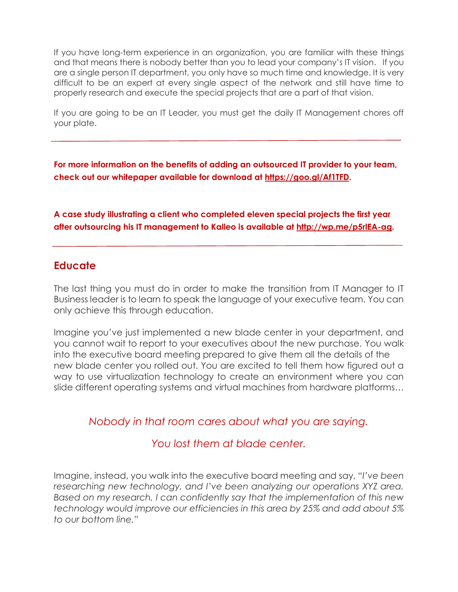If you have long-term experience in an organization, you are familiar with these things and that means there is nobody better than you to lead your company's IT vision. If you are a single person IT department, you only have so much time and knowledge. It is very difficult to be an expert at every single aspect of the network and still have time to properly research and execute the special projects that are a part of that vision.

If you are going to be an IT Leader, you must get the daily IT Management chores off your plate.

**For more information on the benefits of adding an outsourced IT provider to your team, check out our whitepaper available for download at [https://goo.gl/Af1TFD.](https://goo.gl/Af1TFD)** 

**A case study illustrating a client who completed eleven special projects the first year after outsourcing his IT management to Kalleo is available at [http://wp.me/p5rlEA-ag.](http://wp.me/p5rlEA-ag)** 

## **Educate**

The last thing you must do in order to make the transition from IT Manager to IT Business leader is to learn to speak the language of your executive team. You can only achieve this through education.

Imagine you've just implemented a new blade center in your department, and you cannot wait to report to your executives about the new purchase. You walk into the executive board meeting prepared to give them all the details of the new blade center you rolled out. You are excited to tell them how figured out a way to use virtualization technology to create an environment where you can slide different operating systems and virtual machines from hardware platforms…

## *Nobody in that room cares about what you are saying.*

## *You lost them at blade center.*

Imagine, instead, you walk into the executive board meeting and say, "*I've been researching new technology, and I've been analyzing our operations XYZ area. Based on my research, I can confidently say that the implementation of this new technology would improve our efficiencies in this area by 25% and add about 5% to our bottom line.*"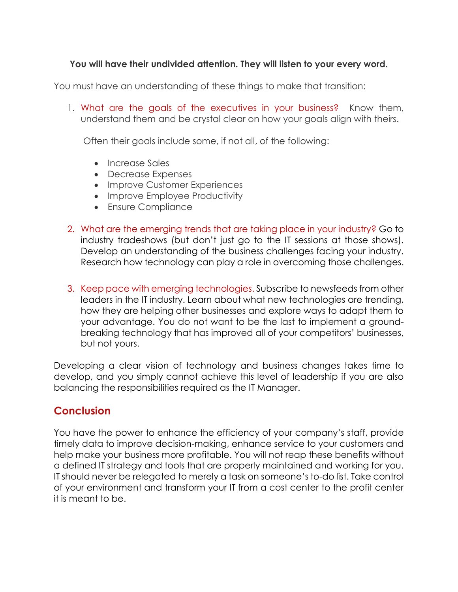#### **You will have their undivided attention. They will listen to your every word.**

You must have an understanding of these things to make that transition:

1. What are the goals of the executives in your business? Know them, understand them and be crystal clear on how your goals align with theirs.

Often their goals include some, if not all, of the following:

- Increase Sales
- Decrease Expenses
- Improve Customer Experiences
- Improve Employee Productivity
- Ensure Compliance
- 2. What are the emerging trends that are taking place in your industry? Go to industry tradeshows (but don't just go to the IT sessions at those shows). Develop an understanding of the business challenges facing your industry. Research how technology can play a role in overcoming those challenges.
- 3. Keep pace with emerging technologies. Subscribe to newsfeeds from other leaders in the IT industry. Learn about what new technologies are trending, how they are helping other businesses and explore ways to adapt them to your advantage. You do not want to be the last to implement a groundbreaking technology that has improved all of your competitors' businesses, but not yours.

Developing a clear vision of technology and business changes takes time to develop, and you simply cannot achieve this level of leadership if you are also balancing the responsibilities required as the IT Manager.

## **Conclusion**

You have the power to enhance the efficiency of your company's staff, provide timely data to improve decision-making, enhance service to your customers and help make your business more profitable. You will not reap these benefits without a defined IT strategy and tools that are properly maintained and working for you. IT should never be relegated to merely a task on someone's to-do list. Take control of your environment and transform your IT from a cost center to the profit center it is meant to be.